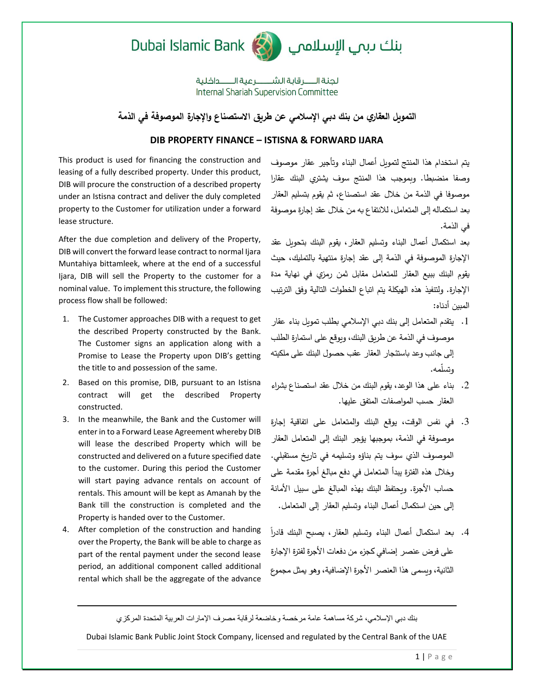



لجنة السرقابة الشسيرعية السبداخلية Internal Shariah Supervision Committee

**التمويل العقاري من بنك دبي اإلسالمي عن طريق االستصناع واإلجارة الموصوفة في الذمة**

## **DIB PROPERTY FINANCE – ISTISNA & FORWARD IJARA**

This product is used for financing the construction and leasing of a fully described property. Under this product, DIB will procure the construction of a described property under an Istisna contract and deliver the duly completed property to the Customer for utilization under a forward lease structure.

After the due completion and delivery of the Property, DIB will convert the forward lease contract to normal Ijara Muntahiya bittamleek, where at the end of a successful Ijara, DIB will sell the Property to the customer for a nominal value. To implement this structure, the following process flow shall be followed:

- 1. The Customer approaches DIB with a request to get the described Property constructed by the Bank. The Customer signs an application along with a Promise to Lease the Property upon DIB's getting the title to and possession of the same.
- 2. Based on this promise, DIB, pursuant to an Istisna contract will get the described Property constructed.
- 3. In the meanwhile, the Bank and the Customer will enter in to a Forward Lease Agreement whereby DIB will lease the described Property which will be constructed and delivered on a future specified date to the customer. During this period the Customer will start paying advance rentals on account of rentals. This amount will be kept as Amanah by the Bank till the construction is completed and the Property is handed over to the Customer.
- 4. After completion of the construction and handing over the Property, the Bank will be able to charge as part of the rental payment under the second lease period, an additional component called additional rental which shall be the aggregate of the advance

يتم استخدام هذا المنتج لتمويل أعمال البناء وتأجير عقار موصوف وصفا منضبطا. وبموجب هذا المنتج سوف يشتري البنك عقارا موصوفا في الذمة من خالل عقد استصناع، ثم يقوم بتسليم العقار بعد استكماله إلى المتعامل، لالنتفاع به من خالل عقد إجارة موصوفة في الذمة.

بعد استكمال أعمال البناء وتسليم العقار، يقوم البنك بتحويل عقد اإلجارة الموصوفة في الذمة إلى عقد إجارة منتهية بالتمليك، حيث يقوم البنك ببيع العقار للمتعامل مقابل ثمن رمزي في نهاية مدة اإلجارة. ولتنفيذ هذه الهيكلة يتم اتباع الخطوات التالية وفق الترتيب المبين أدناه:

- .1 يتقدم المتعامل إلى بنك دبي اإلسالمي بطلب تمويل بناء عقار موصوف في الذمة عن طريق البنك، ويوقع على استمارة الطلب إلى جانب وعد باستئجار العقار عقب حصول البنك على ملكيته وتسّلمه.
- .2 بناء على هذا الوعد، يقوم البنك من خالل عقد استصناع بشراء العقار حسب المواصفات المتفق عليها.
- .3 في نفس الوقت، يوقع البنك والمتعامل على اتفاقية إجارة موصوفة في الذمة، بموجبها يؤجر البنك إلى المتعامل العقار الموصوف الذي سوف يتم بناؤه وتسليمه في تاريخ مستقبلي. وخالل هذه الفترة يبدأ المتعامل في دفع مبالغ أجرة مقدمة على حساب الأجرة. ويحتفظ البنك بهذه المبالغ على سبيل الأمانة إلى حين استكمال أعمال البناء وتسليم العقار إلى المتعامل.
- 4. بعد استكمال أعمال البناء وتسليم العقار، يصبح البنك قادراً على فرض عنصر إضافي كجزء من دفعات الأجرة لفترة الإجارة الثانية، ويسمى هذا العنصر األجرة اإلضافية، وهو يمثل مجموع

بنك دبي اإلسالمي، شركة مساهمة عامة مرخصة وخاضعة لرقابة مصرف اإلمارات العربية المتحدة المركزي

Dubai Islamic Bank Public Joint Stock Company, licensed and regulated by the Central Bank of the UAE